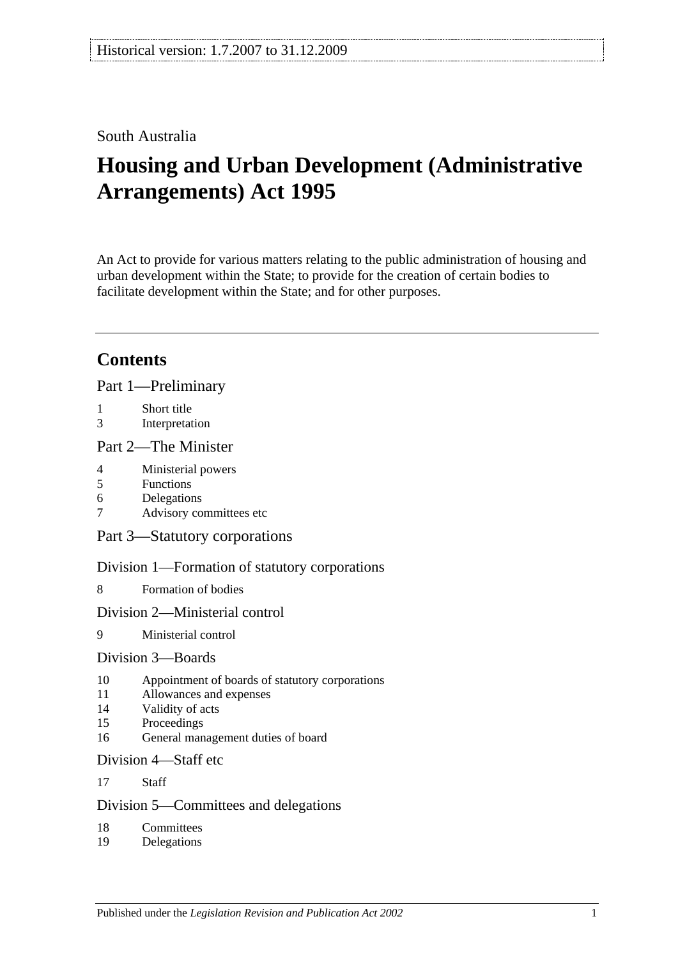## South Australia

# **Housing and Urban Development (Administrative Arrangements) Act 1995**

An Act to provide for various matters relating to the public administration of housing and urban development within the State; to provide for the creation of certain bodies to facilitate development within the State; and for other purposes.

## **Contents**

[Part 1—Preliminary](#page-1-0)

- 1 [Short title](#page-1-1)
- 3 [Interpretation](#page-2-0)

#### [Part 2—The Minister](#page-3-0)

- 4 [Ministerial powers](#page-3-1)
- 5 [Functions](#page-3-2)
- 6 [Delegations](#page-4-0)
- 7 [Advisory committees etc](#page-5-0)

[Part 3—Statutory corporations](#page-5-1)

[Division 1—Formation of statutory corporations](#page-5-2)

8 [Formation of bodies](#page-5-3)

#### [Division 2—Ministerial control](#page-6-0)

9 [Ministerial control](#page-6-1)

## [Division 3—Boards](#page-6-2)

- 10 [Appointment of boards of statutory corporations](#page-6-3)
- 11 [Allowances and expenses](#page-7-0)
- 14 [Validity of acts](#page-7-1)
- 15 [Proceedings](#page-7-2)
- 16 [General management duties of board](#page-8-0)

#### [Division 4—Staff etc](#page-9-0)

17 [Staff](#page-9-1)

## [Division 5—Committees and delegations](#page-9-2)

- 18 [Committees](#page-9-3)
- 19 [Delegations](#page-9-4)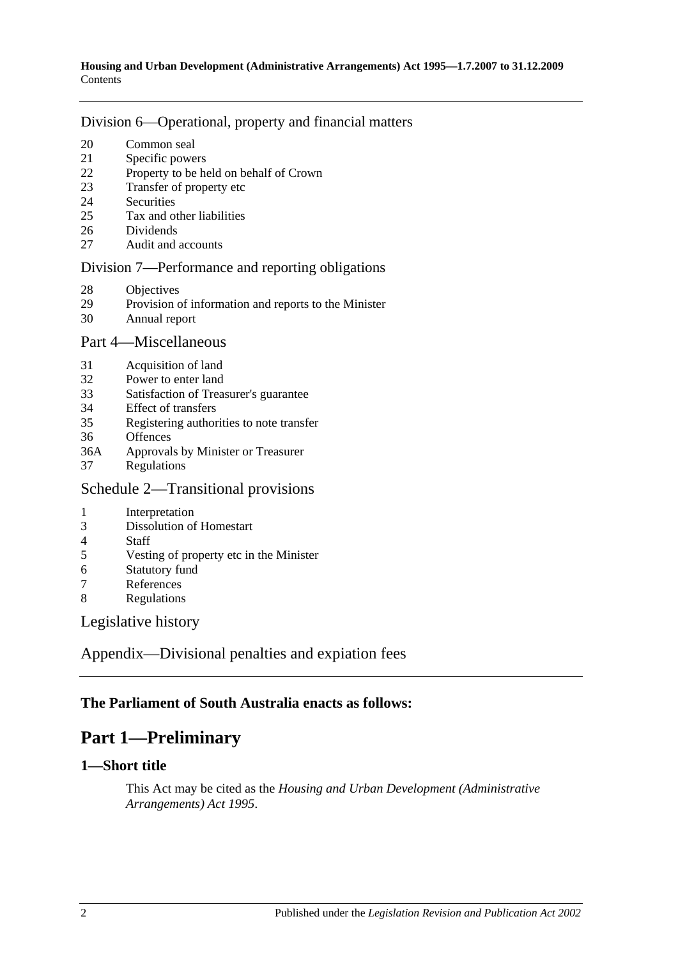#### [Division 6—Operational, property and financial matters](#page-10-0)

- [Common seal](#page-10-1)
- [Specific powers](#page-10-2)
- [Property to be held on behalf of Crown](#page-10-3)
- [Transfer of property etc](#page-11-0)
- [Securities](#page-11-1)
- [Tax and other liabilities](#page-11-2)
- [Dividends](#page-12-0)
- [Audit and accounts](#page-13-0)

#### [Division 7—Performance and reporting obligations](#page-13-1)

- [Objectives](#page-13-2)
- [Provision of information and reports to the Minister](#page-13-3)
- [Annual report](#page-14-0)

#### [Part 4—Miscellaneous](#page-14-1)

- [Acquisition of land](#page-14-2)
- [Power to enter land](#page-14-3)
- [Satisfaction of Treasurer's guarantee](#page-14-4)
- [Effect of transfers](#page-15-0)
- [Registering authorities to note transfer](#page-15-1)
- [Offences](#page-15-2)
- 36A Approvals by [Minister or Treasurer](#page-15-3)
- [Regulations](#page-15-4)

## [Schedule 2—Transitional provisions](#page-16-0)

- [Interpretation](#page-16-1)
- [Dissolution of Homestart](#page-16-2)
- [Staff](#page-16-3)<br>5 Vesti
- [Vesting of property etc in the Minister](#page-17-0)
- [Statutory fund](#page-17-1)
- [References](#page-17-2)
- [Regulations](#page-17-3)

[Legislative history](#page-18-0)

[Appendix—Divisional penalties and expiation fees](#page-20-0)

## <span id="page-1-0"></span>**The Parliament of South Australia enacts as follows:**

## **Part 1—Preliminary**

## <span id="page-1-1"></span>**1—Short title**

This Act may be cited as the *Housing and Urban Development (Administrative Arrangements) Act 1995*.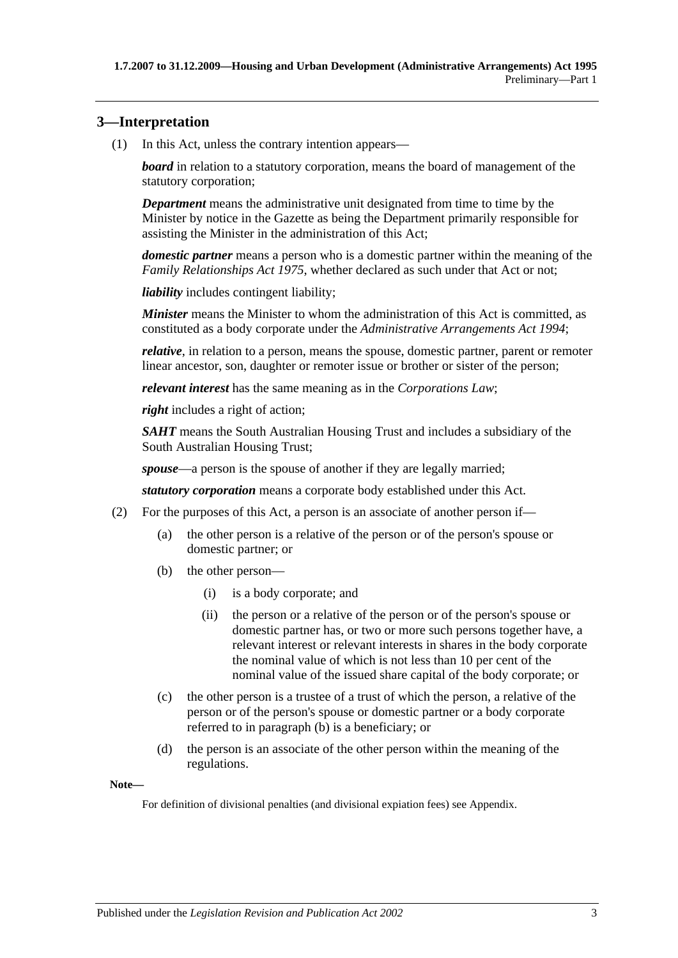## <span id="page-2-0"></span>**3—Interpretation**

(1) In this Act, unless the contrary intention appears—

*board* in relation to a statutory corporation, means the board of management of the statutory corporation;

*Department* means the administrative unit designated from time to time by the Minister by notice in the Gazette as being the Department primarily responsible for assisting the Minister in the administration of this Act;

*domestic partner* means a person who is a domestic partner within the meaning of the *[Family Relationships Act](http://www.legislation.sa.gov.au/index.aspx?action=legref&type=act&legtitle=Family%20Relationships%20Act%201975) 1975*, whether declared as such under that Act or not;

*liability* includes contingent liability;

*Minister* means the Minister to whom the administration of this Act is committed, as constituted as a body corporate under the *[Administrative Arrangements Act](http://www.legislation.sa.gov.au/index.aspx?action=legref&type=act&legtitle=Administrative%20Arrangements%20Act%201994) 1994*;

*relative*, in relation to a person, means the spouse, domestic partner, parent or remoter linear ancestor, son, daughter or remoter issue or brother or sister of the person;

*relevant interest* has the same meaning as in the *Corporations Law*;

*right* includes a right of action;

*SAHT* means the South Australian Housing Trust and includes a subsidiary of the South Australian Housing Trust;

*spouse*—a person is the spouse of another if they are legally married;

*statutory corporation* means a corporate body established under this Act.

- <span id="page-2-1"></span>(2) For the purposes of this Act, a person is an associate of another person if—
	- (a) the other person is a relative of the person or of the person's spouse or domestic partner; or
	- (b) the other person—
		- (i) is a body corporate; and
		- (ii) the person or a relative of the person or of the person's spouse or domestic partner has, or two or more such persons together have, a relevant interest or relevant interests in shares in the body corporate the nominal value of which is not less than 10 per cent of the nominal value of the issued share capital of the body corporate; or
	- (c) the other person is a trustee of a trust of which the person, a relative of the person or of the person's spouse or domestic partner or a body corporate referred to in [paragraph](#page-2-1) (b) is a beneficiary; or
	- (d) the person is an associate of the other person within the meaning of the regulations.

**Note—**

For definition of divisional penalties (and divisional expiation fees) see Appendix.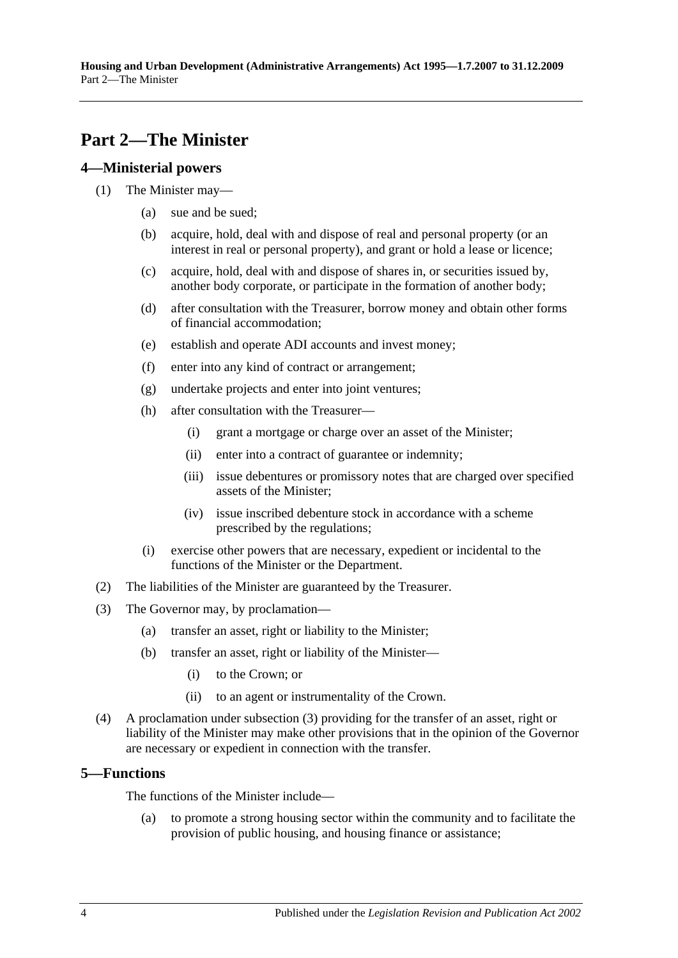## <span id="page-3-0"></span>**Part 2—The Minister**

#### <span id="page-3-1"></span>**4—Ministerial powers**

- (1) The Minister may—
	- (a) sue and be sued;
	- (b) acquire, hold, deal with and dispose of real and personal property (or an interest in real or personal property), and grant or hold a lease or licence;
	- (c) acquire, hold, deal with and dispose of shares in, or securities issued by, another body corporate, or participate in the formation of another body;
	- (d) after consultation with the Treasurer, borrow money and obtain other forms of financial accommodation;
	- (e) establish and operate ADI accounts and invest money;
	- (f) enter into any kind of contract or arrangement;
	- (g) undertake projects and enter into joint ventures;
	- (h) after consultation with the Treasurer—
		- (i) grant a mortgage or charge over an asset of the Minister;
		- (ii) enter into a contract of guarantee or indemnity;
		- (iii) issue debentures or promissory notes that are charged over specified assets of the Minister;
		- (iv) issue inscribed debenture stock in accordance with a scheme prescribed by the regulations;
	- (i) exercise other powers that are necessary, expedient or incidental to the functions of the Minister or the Department.
- (2) The liabilities of the Minister are guaranteed by the Treasurer.
- <span id="page-3-3"></span>(3) The Governor may, by proclamation—
	- (a) transfer an asset, right or liability to the Minister;
	- (b) transfer an asset, right or liability of the Minister—
		- (i) to the Crown; or
		- (ii) to an agent or instrumentality of the Crown.
- (4) A proclamation under [subsection](#page-3-3) (3) providing for the transfer of an asset, right or liability of the Minister may make other provisions that in the opinion of the Governor are necessary or expedient in connection with the transfer.

## <span id="page-3-2"></span>**5—Functions**

The functions of the Minister include—

(a) to promote a strong housing sector within the community and to facilitate the provision of public housing, and housing finance or assistance;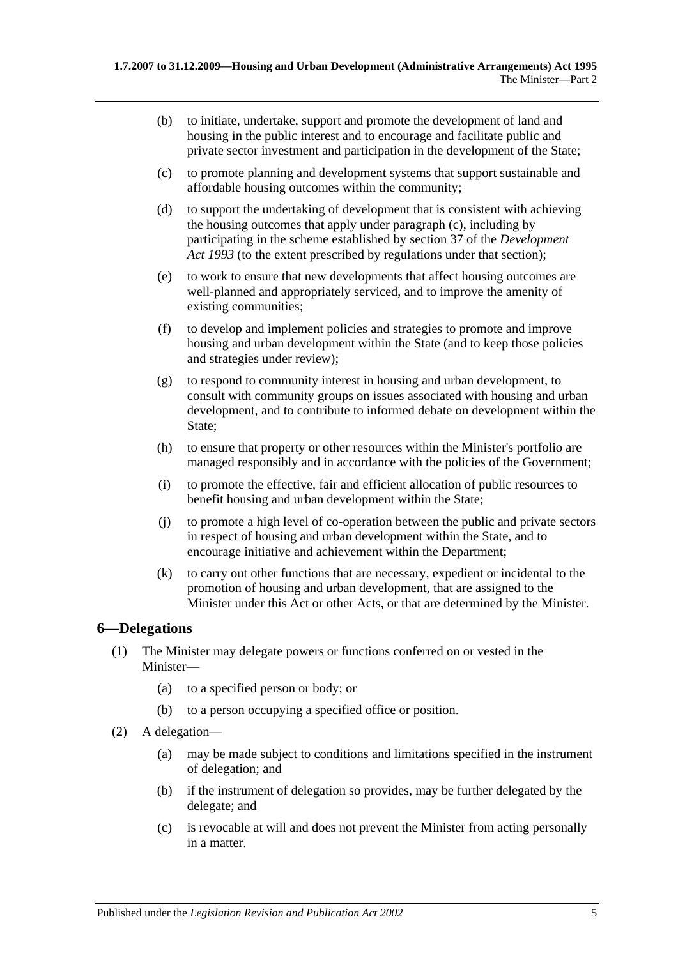- (b) to initiate, undertake, support and promote the development of land and housing in the public interest and to encourage and facilitate public and private sector investment and participation in the development of the State;
- <span id="page-4-1"></span>(c) to promote planning and development systems that support sustainable and affordable housing outcomes within the community;
- (d) to support the undertaking of development that is consistent with achieving the housing outcomes that apply under [paragraph](#page-4-1) (c), including by participating in the scheme established by section 37 of the *[Development](http://www.legislation.sa.gov.au/index.aspx?action=legref&type=act&legtitle=Development%20Act%201993)  Act [1993](http://www.legislation.sa.gov.au/index.aspx?action=legref&type=act&legtitle=Development%20Act%201993)* (to the extent prescribed by regulations under that section);
- (e) to work to ensure that new developments that affect housing outcomes are well-planned and appropriately serviced, and to improve the amenity of existing communities;
- (f) to develop and implement policies and strategies to promote and improve housing and urban development within the State (and to keep those policies and strategies under review);
- (g) to respond to community interest in housing and urban development, to consult with community groups on issues associated with housing and urban development, and to contribute to informed debate on development within the State;
- (h) to ensure that property or other resources within the Minister's portfolio are managed responsibly and in accordance with the policies of the Government;
- (i) to promote the effective, fair and efficient allocation of public resources to benefit housing and urban development within the State;
- (j) to promote a high level of co-operation between the public and private sectors in respect of housing and urban development within the State, and to encourage initiative and achievement within the Department;
- (k) to carry out other functions that are necessary, expedient or incidental to the promotion of housing and urban development, that are assigned to the Minister under this Act or other Acts, or that are determined by the Minister.

## <span id="page-4-0"></span>**6—Delegations**

- (1) The Minister may delegate powers or functions conferred on or vested in the Minister—
	- (a) to a specified person or body; or
	- (b) to a person occupying a specified office or position.
- (2) A delegation—
	- (a) may be made subject to conditions and limitations specified in the instrument of delegation; and
	- (b) if the instrument of delegation so provides, may be further delegated by the delegate; and
	- (c) is revocable at will and does not prevent the Minister from acting personally in a matter.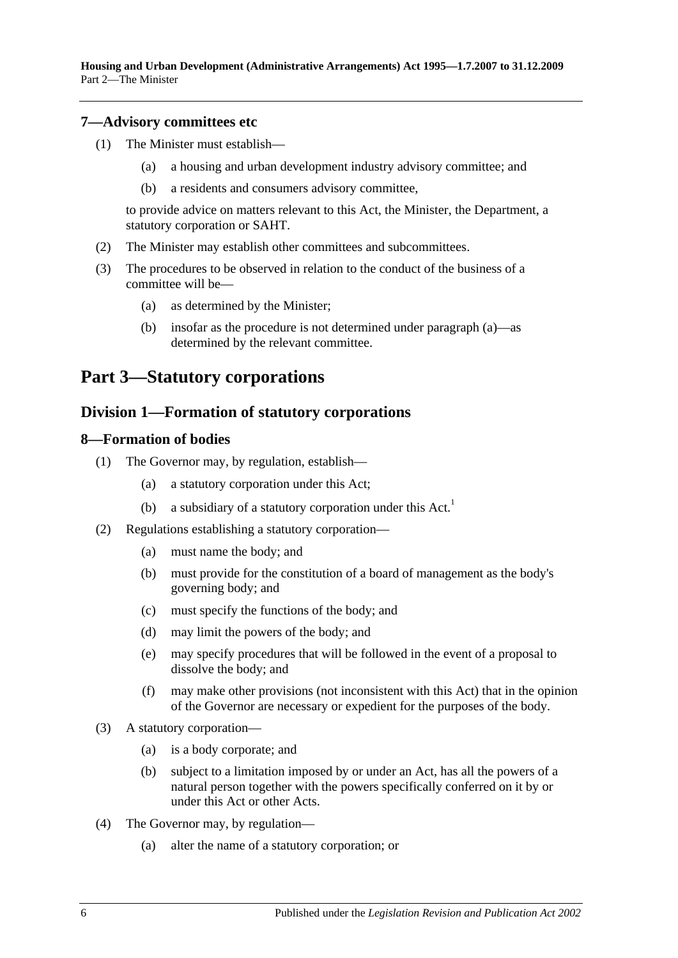**Housing and Urban Development (Administrative Arrangements) Act 1995—1.7.2007 to 31.12.2009** Part 2—The Minister

#### <span id="page-5-0"></span>**7—Advisory committees etc**

- (1) The Minister must establish—
	- (a) a housing and urban development industry advisory committee; and
	- (b) a residents and consumers advisory committee,

to provide advice on matters relevant to this Act, the Minister, the Department, a statutory corporation or SAHT.

- (2) The Minister may establish other committees and subcommittees.
- <span id="page-5-4"></span>(3) The procedures to be observed in relation to the conduct of the business of a committee will be—
	- (a) as determined by the Minister;
	- (b) insofar as the procedure is not determined under [paragraph](#page-5-4) (a)—as determined by the relevant committee.

## <span id="page-5-2"></span><span id="page-5-1"></span>**Part 3—Statutory corporations**

#### **Division 1—Formation of statutory corporations**

#### <span id="page-5-3"></span>**8—Formation of bodies**

- (1) The Governor may, by regulation, establish—
	- (a) a statutory corporation under this Act;
	- (b) a subsidiary of a statutory corporation under this  $Act.$ <sup>1</sup>
- <span id="page-5-6"></span>(2) Regulations establishing a statutory corporation—
	- (a) must name the body; and
	- (b) must provide for the constitution of a board of management as the body's governing body; and
	- (c) must specify the functions of the body; and
	- (d) may limit the powers of the body; and
	- (e) may specify procedures that will be followed in the event of a proposal to dissolve the body; and
	- (f) may make other provisions (not inconsistent with this Act) that in the opinion of the Governor are necessary or expedient for the purposes of the body.
- <span id="page-5-5"></span>(3) A statutory corporation—
	- (a) is a body corporate; and
	- (b) subject to a limitation imposed by or under an Act, has all the powers of a natural person together with the powers specifically conferred on it by or under this Act or other Acts.
- (4) The Governor may, by regulation—
	- (a) alter the name of a statutory corporation; or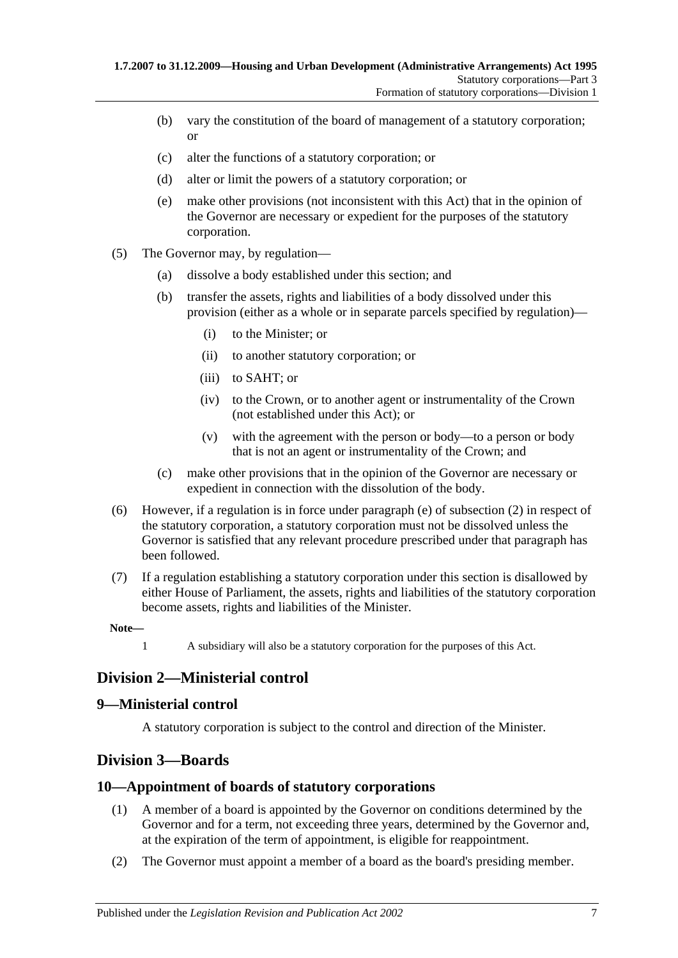- (b) vary the constitution of the board of management of a statutory corporation; or
- (c) alter the functions of a statutory corporation; or
- (d) alter or limit the powers of a statutory corporation; or
- (e) make other provisions (not inconsistent with this Act) that in the opinion of the Governor are necessary or expedient for the purposes of the statutory corporation.
- (5) The Governor may, by regulation—
	- (a) dissolve a body established under this section; and
	- (b) transfer the assets, rights and liabilities of a body dissolved under this provision (either as a whole or in separate parcels specified by regulation)—
		- (i) to the Minister; or
		- (ii) to another statutory corporation; or
		- (iii) to SAHT; or
		- (iv) to the Crown, or to another agent or instrumentality of the Crown (not established under this Act); or
		- (v) with the agreement with the person or body—to a person or body that is not an agent or instrumentality of the Crown; and
	- (c) make other provisions that in the opinion of the Governor are necessary or expedient in connection with the dissolution of the body.
- (6) However, if a regulation is in force under [paragraph](#page-5-5) (e) of [subsection](#page-5-6) (2) in respect of the statutory corporation, a statutory corporation must not be dissolved unless the Governor is satisfied that any relevant procedure prescribed under that paragraph has been followed.
- (7) If a regulation establishing a statutory corporation under this section is disallowed by either House of Parliament, the assets, rights and liabilities of the statutory corporation become assets, rights and liabilities of the Minister.

1 A subsidiary will also be a statutory corporation for the purposes of this Act.

## <span id="page-6-0"></span>**Division 2—Ministerial control**

## <span id="page-6-1"></span>**9—Ministerial control**

A statutory corporation is subject to the control and direction of the Minister.

## <span id="page-6-2"></span>**Division 3—Boards**

## <span id="page-6-3"></span>**10—Appointment of boards of statutory corporations**

- (1) A member of a board is appointed by the Governor on conditions determined by the Governor and for a term, not exceeding three years, determined by the Governor and, at the expiration of the term of appointment, is eligible for reappointment.
- (2) The Governor must appoint a member of a board as the board's presiding member.

**Note—**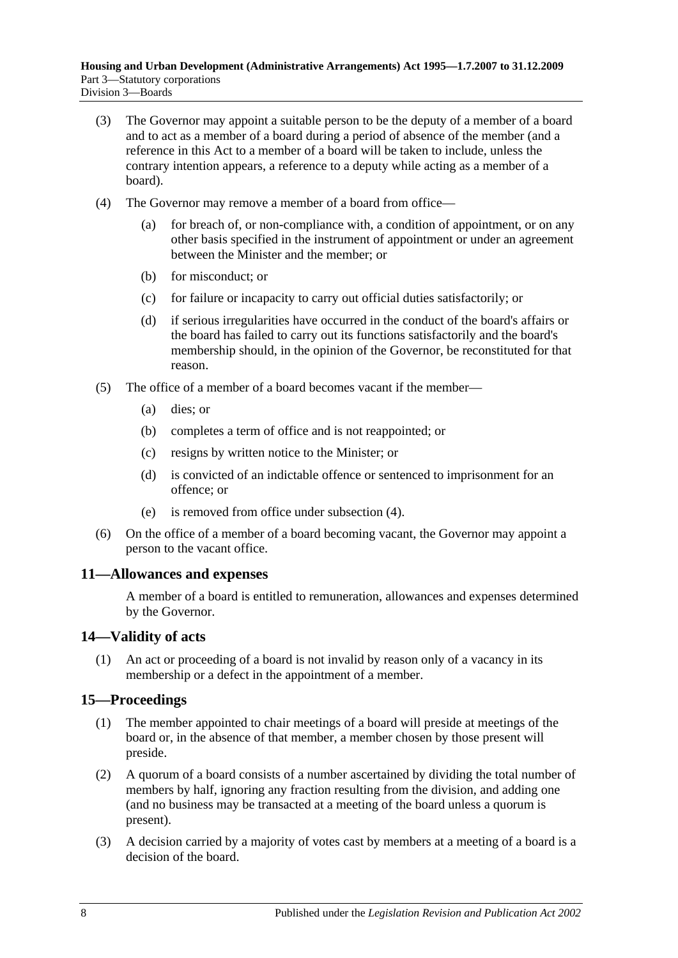- (3) The Governor may appoint a suitable person to be the deputy of a member of a board and to act as a member of a board during a period of absence of the member (and a reference in this Act to a member of a board will be taken to include, unless the contrary intention appears, a reference to a deputy while acting as a member of a board).
- <span id="page-7-3"></span>(4) The Governor may remove a member of a board from office—
	- (a) for breach of, or non-compliance with, a condition of appointment, or on any other basis specified in the instrument of appointment or under an agreement between the Minister and the member; or
	- (b) for misconduct; or
	- (c) for failure or incapacity to carry out official duties satisfactorily; or
	- (d) if serious irregularities have occurred in the conduct of the board's affairs or the board has failed to carry out its functions satisfactorily and the board's membership should, in the opinion of the Governor, be reconstituted for that reason.
- (5) The office of a member of a board becomes vacant if the member—
	- (a) dies; or
	- (b) completes a term of office and is not reappointed; or
	- (c) resigns by written notice to the Minister; or
	- (d) is convicted of an indictable offence or sentenced to imprisonment for an offence; or
	- (e) is removed from office under [subsection](#page-7-3) (4).
- (6) On the office of a member of a board becoming vacant, the Governor may appoint a person to the vacant office.

## <span id="page-7-0"></span>**11—Allowances and expenses**

A member of a board is entitled to remuneration, allowances and expenses determined by the Governor.

## <span id="page-7-1"></span>**14—Validity of acts**

(1) An act or proceeding of a board is not invalid by reason only of a vacancy in its membership or a defect in the appointment of a member.

## <span id="page-7-2"></span>**15—Proceedings**

- (1) The member appointed to chair meetings of a board will preside at meetings of the board or, in the absence of that member, a member chosen by those present will preside.
- (2) A quorum of a board consists of a number ascertained by dividing the total number of members by half, ignoring any fraction resulting from the division, and adding one (and no business may be transacted at a meeting of the board unless a quorum is present).
- (3) A decision carried by a majority of votes cast by members at a meeting of a board is a decision of the board.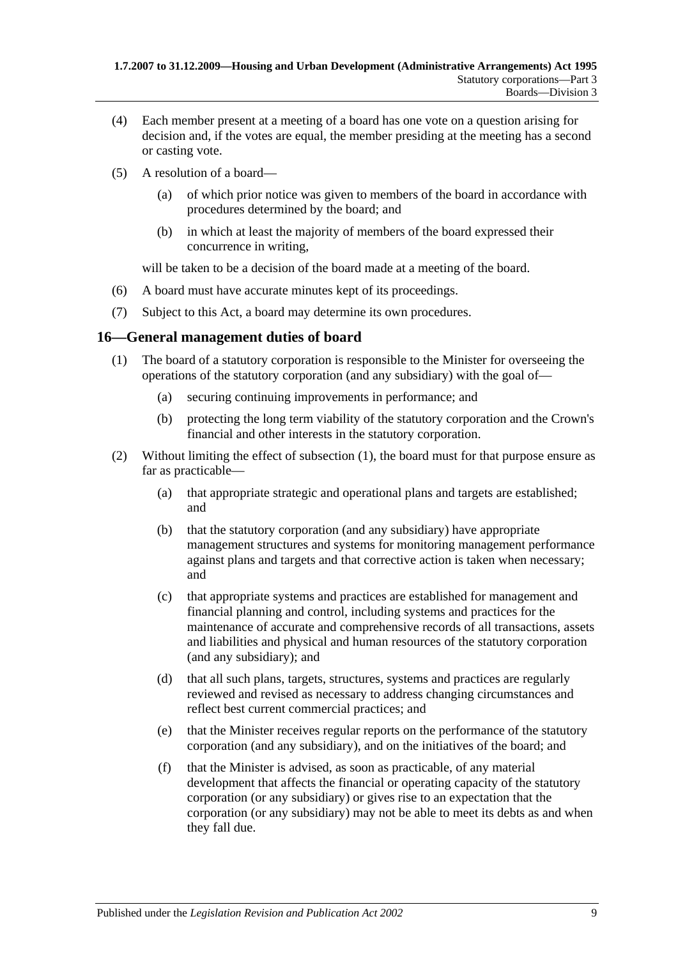- (4) Each member present at a meeting of a board has one vote on a question arising for decision and, if the votes are equal, the member presiding at the meeting has a second or casting vote.
- (5) A resolution of a board—
	- (a) of which prior notice was given to members of the board in accordance with procedures determined by the board; and
	- (b) in which at least the majority of members of the board expressed their concurrence in writing,

will be taken to be a decision of the board made at a meeting of the board.

- (6) A board must have accurate minutes kept of its proceedings.
- (7) Subject to this Act, a board may determine its own procedures.

#### <span id="page-8-1"></span><span id="page-8-0"></span>**16—General management duties of board**

- (1) The board of a statutory corporation is responsible to the Minister for overseeing the operations of the statutory corporation (and any subsidiary) with the goal of—
	- (a) securing continuing improvements in performance; and
	- (b) protecting the long term viability of the statutory corporation and the Crown's financial and other interests in the statutory corporation.
- (2) Without limiting the effect of [subsection](#page-8-1) (1), the board must for that purpose ensure as far as practicable—
	- (a) that appropriate strategic and operational plans and targets are established; and
	- (b) that the statutory corporation (and any subsidiary) have appropriate management structures and systems for monitoring management performance against plans and targets and that corrective action is taken when necessary; and
	- (c) that appropriate systems and practices are established for management and financial planning and control, including systems and practices for the maintenance of accurate and comprehensive records of all transactions, assets and liabilities and physical and human resources of the statutory corporation (and any subsidiary); and
	- (d) that all such plans, targets, structures, systems and practices are regularly reviewed and revised as necessary to address changing circumstances and reflect best current commercial practices; and
	- (e) that the Minister receives regular reports on the performance of the statutory corporation (and any subsidiary), and on the initiatives of the board; and
	- (f) that the Minister is advised, as soon as practicable, of any material development that affects the financial or operating capacity of the statutory corporation (or any subsidiary) or gives rise to an expectation that the corporation (or any subsidiary) may not be able to meet its debts as and when they fall due.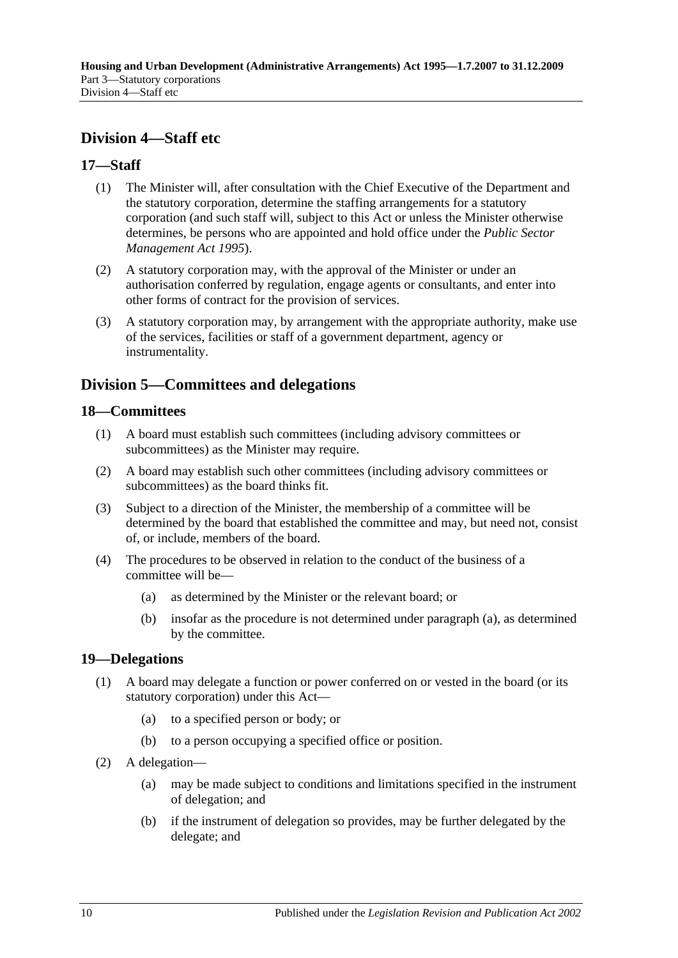## <span id="page-9-0"></span>**Division 4—Staff etc**

## <span id="page-9-1"></span>**17—Staff**

- (1) The Minister will, after consultation with the Chief Executive of the Department and the statutory corporation, determine the staffing arrangements for a statutory corporation (and such staff will, subject to this Act or unless the Minister otherwise determines, be persons who are appointed and hold office under the *[Public Sector](http://www.legislation.sa.gov.au/index.aspx?action=legref&type=act&legtitle=Public%20Sector%20Management%20Act%201995)  [Management Act](http://www.legislation.sa.gov.au/index.aspx?action=legref&type=act&legtitle=Public%20Sector%20Management%20Act%201995) 1995*).
- (2) A statutory corporation may, with the approval of the Minister or under an authorisation conferred by regulation, engage agents or consultants, and enter into other forms of contract for the provision of services.
- (3) A statutory corporation may, by arrangement with the appropriate authority, make use of the services, facilities or staff of a government department, agency or instrumentality.

## <span id="page-9-2"></span>**Division 5—Committees and delegations**

## <span id="page-9-3"></span>**18—Committees**

- (1) A board must establish such committees (including advisory committees or subcommittees) as the Minister may require.
- (2) A board may establish such other committees (including advisory committees or subcommittees) as the board thinks fit.
- (3) Subject to a direction of the Minister, the membership of a committee will be determined by the board that established the committee and may, but need not, consist of, or include, members of the board.
- <span id="page-9-5"></span>(4) The procedures to be observed in relation to the conduct of the business of a committee will be—
	- (a) as determined by the Minister or the relevant board; or
	- (b) insofar as the procedure is not determined under [paragraph](#page-9-5) (a), as determined by the committee.

## <span id="page-9-4"></span>**19—Delegations**

- (1) A board may delegate a function or power conferred on or vested in the board (or its statutory corporation) under this Act—
	- (a) to a specified person or body; or
	- (b) to a person occupying a specified office or position.
- (2) A delegation—
	- (a) may be made subject to conditions and limitations specified in the instrument of delegation; and
	- (b) if the instrument of delegation so provides, may be further delegated by the delegate; and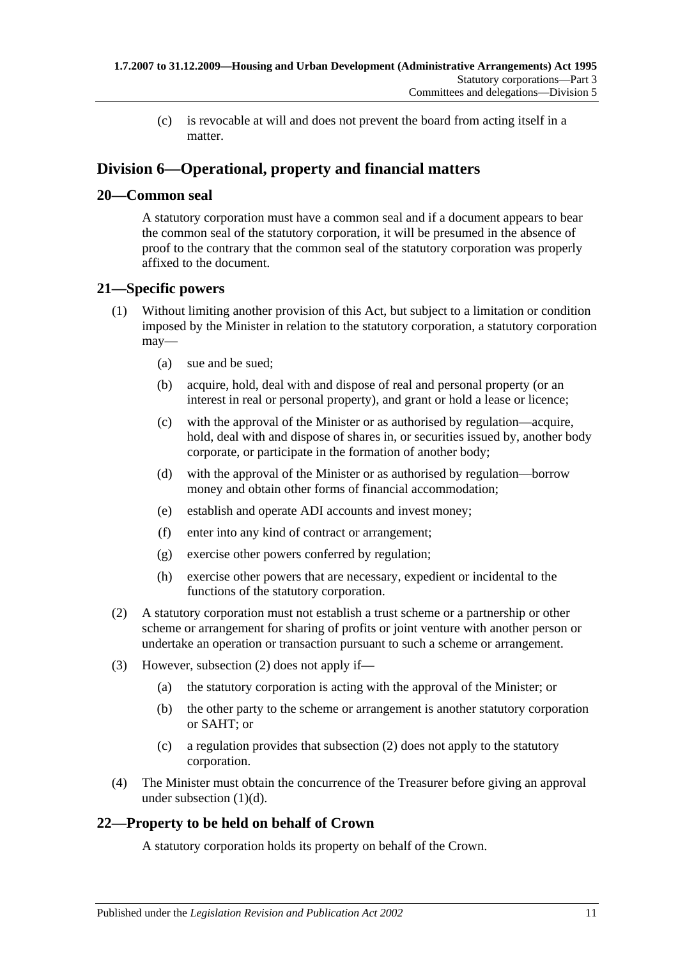(c) is revocable at will and does not prevent the board from acting itself in a matter.

## <span id="page-10-0"></span>**Division 6—Operational, property and financial matters**

## <span id="page-10-1"></span>**20—Common seal**

A statutory corporation must have a common seal and if a document appears to bear the common seal of the statutory corporation, it will be presumed in the absence of proof to the contrary that the common seal of the statutory corporation was properly affixed to the document.

## <span id="page-10-2"></span>**21—Specific powers**

- (1) Without limiting another provision of this Act, but subject to a limitation or condition imposed by the Minister in relation to the statutory corporation, a statutory corporation may—
	- (a) sue and be sued;
	- (b) acquire, hold, deal with and dispose of real and personal property (or an interest in real or personal property), and grant or hold a lease or licence;
	- (c) with the approval of the Minister or as authorised by regulation—acquire, hold, deal with and dispose of shares in, or securities issued by, another body corporate, or participate in the formation of another body;
	- (d) with the approval of the Minister or as authorised by regulation—borrow money and obtain other forms of financial accommodation;
	- (e) establish and operate ADI accounts and invest money;
	- (f) enter into any kind of contract or arrangement;
	- (g) exercise other powers conferred by regulation;
	- (h) exercise other powers that are necessary, expedient or incidental to the functions of the statutory corporation.
- <span id="page-10-5"></span><span id="page-10-4"></span>(2) A statutory corporation must not establish a trust scheme or a partnership or other scheme or arrangement for sharing of profits or joint venture with another person or undertake an operation or transaction pursuant to such a scheme or arrangement.
- (3) However, [subsection](#page-10-4) (2) does not apply if—
	- (a) the statutory corporation is acting with the approval of the Minister; or
	- (b) the other party to the scheme or arrangement is another statutory corporation or SAHT; or
	- (c) a regulation provides that [subsection](#page-10-4) (2) does not apply to the statutory corporation.
- (4) The Minister must obtain the concurrence of the Treasurer before giving an approval under [subsection](#page-10-5) (1)(d).

## <span id="page-10-3"></span>**22—Property to be held on behalf of Crown**

A statutory corporation holds its property on behalf of the Crown.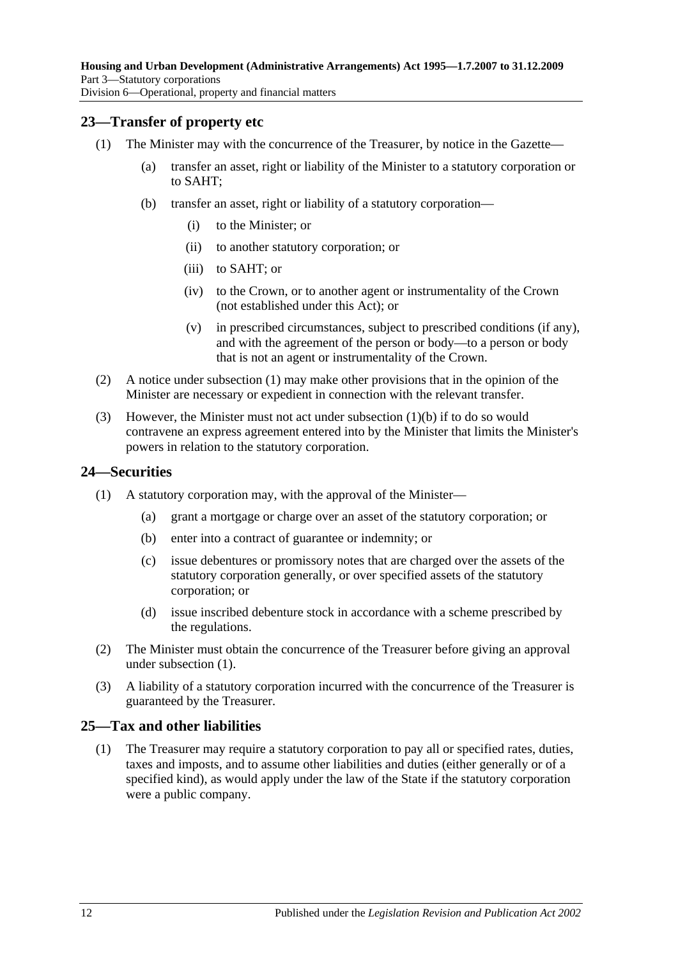## <span id="page-11-3"></span><span id="page-11-0"></span>**23—Transfer of property etc**

- <span id="page-11-4"></span>(1) The Minister may with the concurrence of the Treasurer, by notice in the Gazette—
	- (a) transfer an asset, right or liability of the Minister to a statutory corporation or to SAHT;
	- (b) transfer an asset, right or liability of a statutory corporation—
		- (i) to the Minister; or
		- (ii) to another statutory corporation; or
		- (iii) to SAHT; or
		- (iv) to the Crown, or to another agent or instrumentality of the Crown (not established under this Act); or
		- (v) in prescribed circumstances, subject to prescribed conditions (if any), and with the agreement of the person or body—to a person or body that is not an agent or instrumentality of the Crown.
- (2) A notice under [subsection](#page-11-3) (1) may make other provisions that in the opinion of the Minister are necessary or expedient in connection with the relevant transfer.
- (3) However, the Minister must not act under [subsection](#page-11-4) (1)(b) if to do so would contravene an express agreement entered into by the Minister that limits the Minister's powers in relation to the statutory corporation.

#### <span id="page-11-5"></span><span id="page-11-1"></span>**24—Securities**

- (1) A statutory corporation may, with the approval of the Minister—
	- (a) grant a mortgage or charge over an asset of the statutory corporation; or
	- (b) enter into a contract of guarantee or indemnity; or
	- (c) issue debentures or promissory notes that are charged over the assets of the statutory corporation generally, or over specified assets of the statutory corporation; or
	- (d) issue inscribed debenture stock in accordance with a scheme prescribed by the regulations.
- (2) The Minister must obtain the concurrence of the Treasurer before giving an approval under [subsection](#page-11-5) (1).
- (3) A liability of a statutory corporation incurred with the concurrence of the Treasurer is guaranteed by the Treasurer.

## <span id="page-11-2"></span>**25—Tax and other liabilities**

(1) The Treasurer may require a statutory corporation to pay all or specified rates, duties, taxes and imposts, and to assume other liabilities and duties (either generally or of a specified kind), as would apply under the law of the State if the statutory corporation were a public company.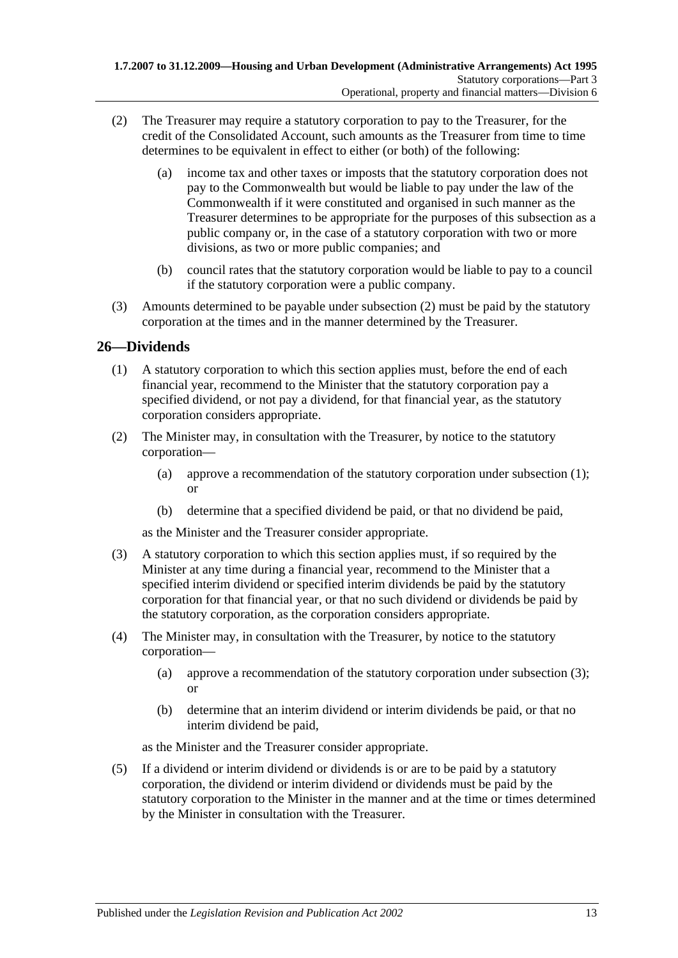- <span id="page-12-1"></span>(2) The Treasurer may require a statutory corporation to pay to the Treasurer, for the credit of the Consolidated Account, such amounts as the Treasurer from time to time determines to be equivalent in effect to either (or both) of the following:
	- (a) income tax and other taxes or imposts that the statutory corporation does not pay to the Commonwealth but would be liable to pay under the law of the Commonwealth if it were constituted and organised in such manner as the Treasurer determines to be appropriate for the purposes of this subsection as a public company or, in the case of a statutory corporation with two or more divisions, as two or more public companies; and
	- (b) council rates that the statutory corporation would be liable to pay to a council if the statutory corporation were a public company.
- (3) Amounts determined to be payable under [subsection](#page-12-1) (2) must be paid by the statutory corporation at the times and in the manner determined by the Treasurer.

## <span id="page-12-2"></span><span id="page-12-0"></span>**26—Dividends**

- (1) A statutory corporation to which this section applies must, before the end of each financial year, recommend to the Minister that the statutory corporation pay a specified dividend, or not pay a dividend, for that financial year, as the statutory corporation considers appropriate.
- (2) The Minister may, in consultation with the Treasurer, by notice to the statutory corporation—
	- (a) approve a recommendation of the statutory corporation under [subsection](#page-12-2) (1); or
	- (b) determine that a specified dividend be paid, or that no dividend be paid,

as the Minister and the Treasurer consider appropriate.

- <span id="page-12-3"></span>(3) A statutory corporation to which this section applies must, if so required by the Minister at any time during a financial year, recommend to the Minister that a specified interim dividend or specified interim dividends be paid by the statutory corporation for that financial year, or that no such dividend or dividends be paid by the statutory corporation, as the corporation considers appropriate.
- (4) The Minister may, in consultation with the Treasurer, by notice to the statutory corporation—
	- (a) approve a recommendation of the statutory corporation under [subsection](#page-12-3) (3); or
	- (b) determine that an interim dividend or interim dividends be paid, or that no interim dividend be paid,

as the Minister and the Treasurer consider appropriate.

(5) If a dividend or interim dividend or dividends is or are to be paid by a statutory corporation, the dividend or interim dividend or dividends must be paid by the statutory corporation to the Minister in the manner and at the time or times determined by the Minister in consultation with the Treasurer.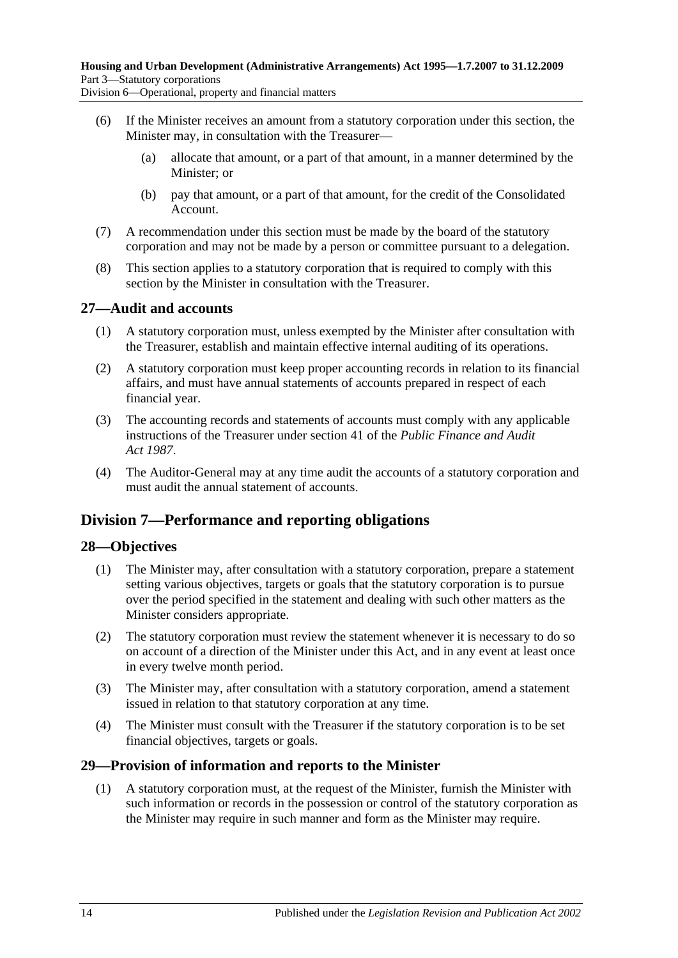Division 6—Operational, property and financial matters

- (6) If the Minister receives an amount from a statutory corporation under this section, the Minister may, in consultation with the Treasurer—
	- (a) allocate that amount, or a part of that amount, in a manner determined by the Minister; or
	- (b) pay that amount, or a part of that amount, for the credit of the Consolidated Account.
- (7) A recommendation under this section must be made by the board of the statutory corporation and may not be made by a person or committee pursuant to a delegation.
- (8) This section applies to a statutory corporation that is required to comply with this section by the Minister in consultation with the Treasurer.

## <span id="page-13-0"></span>**27—Audit and accounts**

- (1) A statutory corporation must, unless exempted by the Minister after consultation with the Treasurer, establish and maintain effective internal auditing of its operations.
- (2) A statutory corporation must keep proper accounting records in relation to its financial affairs, and must have annual statements of accounts prepared in respect of each financial year.
- (3) The accounting records and statements of accounts must comply with any applicable instructions of the Treasurer under section 41 of the *[Public Finance and Audit](http://www.legislation.sa.gov.au/index.aspx?action=legref&type=act&legtitle=Public%20Finance%20and%20Audit%20Act%201987)  Act [1987](http://www.legislation.sa.gov.au/index.aspx?action=legref&type=act&legtitle=Public%20Finance%20and%20Audit%20Act%201987)*.
- (4) The Auditor-General may at any time audit the accounts of a statutory corporation and must audit the annual statement of accounts.

## <span id="page-13-1"></span>**Division 7—Performance and reporting obligations**

## <span id="page-13-2"></span>**28—Objectives**

- (1) The Minister may, after consultation with a statutory corporation, prepare a statement setting various objectives, targets or goals that the statutory corporation is to pursue over the period specified in the statement and dealing with such other matters as the Minister considers appropriate.
- (2) The statutory corporation must review the statement whenever it is necessary to do so on account of a direction of the Minister under this Act, and in any event at least once in every twelve month period.
- (3) The Minister may, after consultation with a statutory corporation, amend a statement issued in relation to that statutory corporation at any time.
- (4) The Minister must consult with the Treasurer if the statutory corporation is to be set financial objectives, targets or goals.

## <span id="page-13-3"></span>**29—Provision of information and reports to the Minister**

(1) A statutory corporation must, at the request of the Minister, furnish the Minister with such information or records in the possession or control of the statutory corporation as the Minister may require in such manner and form as the Minister may require.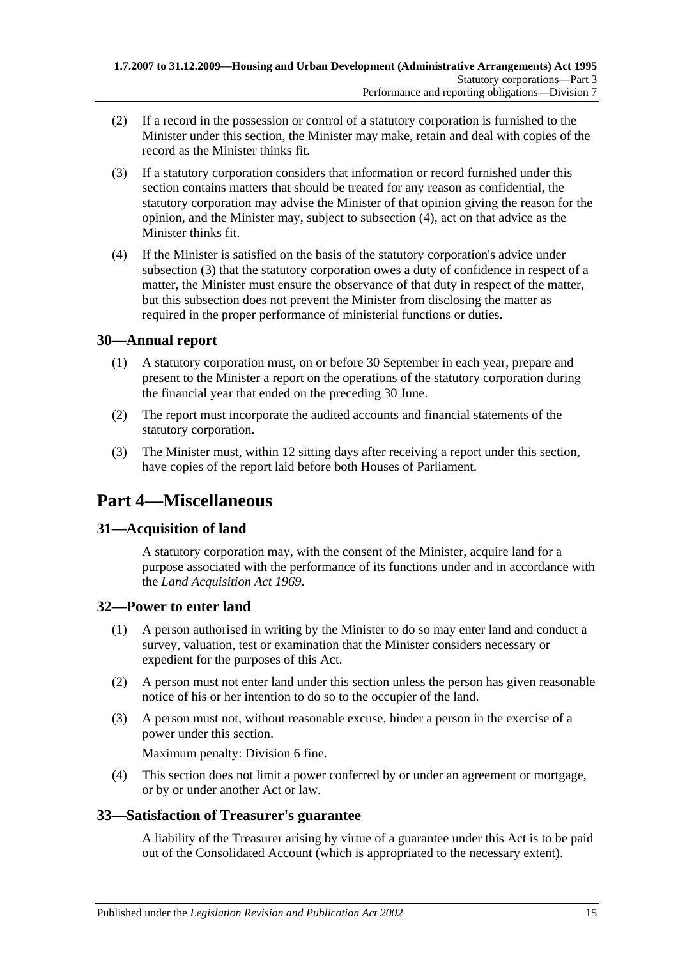- (2) If a record in the possession or control of a statutory corporation is furnished to the Minister under this section, the Minister may make, retain and deal with copies of the record as the Minister thinks fit.
- <span id="page-14-6"></span>(3) If a statutory corporation considers that information or record furnished under this section contains matters that should be treated for any reason as confidential, the statutory corporation may advise the Minister of that opinion giving the reason for the opinion, and the Minister may, subject to [subsection](#page-14-5) (4), act on that advice as the Minister thinks fit.
- <span id="page-14-5"></span>(4) If the Minister is satisfied on the basis of the statutory corporation's advice under [subsection](#page-14-6) (3) that the statutory corporation owes a duty of confidence in respect of a matter, the Minister must ensure the observance of that duty in respect of the matter, but this subsection does not prevent the Minister from disclosing the matter as required in the proper performance of ministerial functions or duties.

## <span id="page-14-0"></span>**30—Annual report**

- (1) A statutory corporation must, on or before 30 September in each year, prepare and present to the Minister a report on the operations of the statutory corporation during the financial year that ended on the preceding 30 June.
- (2) The report must incorporate the audited accounts and financial statements of the statutory corporation.
- (3) The Minister must, within 12 sitting days after receiving a report under this section, have copies of the report laid before both Houses of Parliament.

## <span id="page-14-1"></span>**Part 4—Miscellaneous**

## <span id="page-14-2"></span>**31—Acquisition of land**

A statutory corporation may, with the consent of the Minister, acquire land for a purpose associated with the performance of its functions under and in accordance with the *[Land Acquisition Act](http://www.legislation.sa.gov.au/index.aspx?action=legref&type=act&legtitle=Land%20Acquisition%20Act%201969) 1969*.

## <span id="page-14-3"></span>**32—Power to enter land**

- (1) A person authorised in writing by the Minister to do so may enter land and conduct a survey, valuation, test or examination that the Minister considers necessary or expedient for the purposes of this Act.
- (2) A person must not enter land under this section unless the person has given reasonable notice of his or her intention to do so to the occupier of the land.
- (3) A person must not, without reasonable excuse, hinder a person in the exercise of a power under this section.

Maximum penalty: Division 6 fine.

(4) This section does not limit a power conferred by or under an agreement or mortgage, or by or under another Act or law.

## <span id="page-14-4"></span>**33—Satisfaction of Treasurer's guarantee**

A liability of the Treasurer arising by virtue of a guarantee under this Act is to be paid out of the Consolidated Account (which is appropriated to the necessary extent).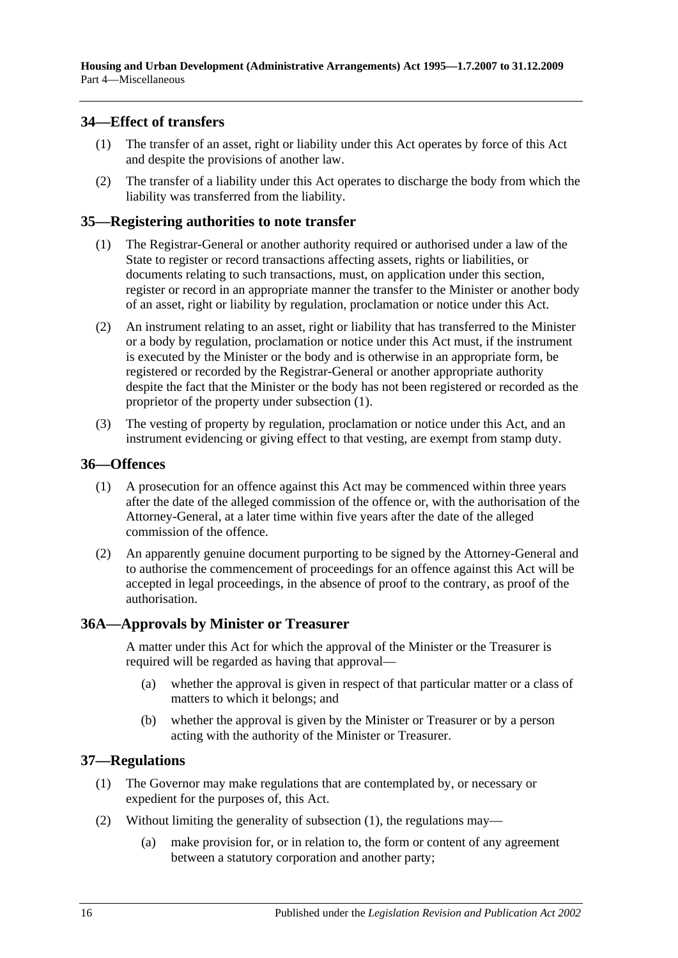## <span id="page-15-0"></span>**34—Effect of transfers**

- (1) The transfer of an asset, right or liability under this Act operates by force of this Act and despite the provisions of another law.
- (2) The transfer of a liability under this Act operates to discharge the body from which the liability was transferred from the liability.

## <span id="page-15-5"></span><span id="page-15-1"></span>**35—Registering authorities to note transfer**

- (1) The Registrar-General or another authority required or authorised under a law of the State to register or record transactions affecting assets, rights or liabilities, or documents relating to such transactions, must, on application under this section, register or record in an appropriate manner the transfer to the Minister or another body of an asset, right or liability by regulation, proclamation or notice under this Act.
- (2) An instrument relating to an asset, right or liability that has transferred to the Minister or a body by regulation, proclamation or notice under this Act must, if the instrument is executed by the Minister or the body and is otherwise in an appropriate form, be registered or recorded by the Registrar-General or another appropriate authority despite the fact that the Minister or the body has not been registered or recorded as the proprietor of the property under [subsection](#page-15-5) (1).
- (3) The vesting of property by regulation, proclamation or notice under this Act, and an instrument evidencing or giving effect to that vesting, are exempt from stamp duty.

#### <span id="page-15-2"></span>**36—Offences**

- (1) A prosecution for an offence against this Act may be commenced within three years after the date of the alleged commission of the offence or, with the authorisation of the Attorney-General, at a later time within five years after the date of the alleged commission of the offence.
- (2) An apparently genuine document purporting to be signed by the Attorney-General and to authorise the commencement of proceedings for an offence against this Act will be accepted in legal proceedings, in the absence of proof to the contrary, as proof of the authorisation.

## <span id="page-15-3"></span>**36A—Approvals by Minister or Treasurer**

A matter under this Act for which the approval of the Minister or the Treasurer is required will be regarded as having that approval—

- (a) whether the approval is given in respect of that particular matter or a class of matters to which it belongs; and
- (b) whether the approval is given by the Minister or Treasurer or by a person acting with the authority of the Minister or Treasurer.

## <span id="page-15-6"></span><span id="page-15-4"></span>**37—Regulations**

- (1) The Governor may make regulations that are contemplated by, or necessary or expedient for the purposes of, this Act.
- (2) Without limiting the generality of [subsection](#page-15-6) (1), the regulations may—
	- (a) make provision for, or in relation to, the form or content of any agreement between a statutory corporation and another party;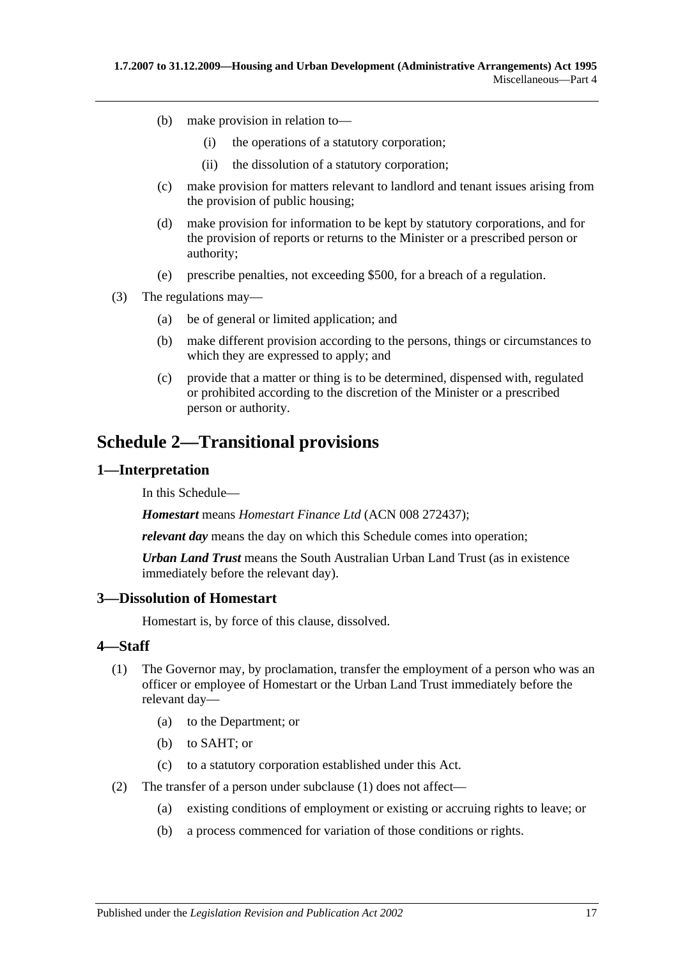- (b) make provision in relation to—
	- (i) the operations of a statutory corporation;
	- (ii) the dissolution of a statutory corporation;
- (c) make provision for matters relevant to landlord and tenant issues arising from the provision of public housing;
- (d) make provision for information to be kept by statutory corporations, and for the provision of reports or returns to the Minister or a prescribed person or authority;
- (e) prescribe penalties, not exceeding \$500, for a breach of a regulation.
- (3) The regulations may—
	- (a) be of general or limited application; and
	- (b) make different provision according to the persons, things or circumstances to which they are expressed to apply; and
	- (c) provide that a matter or thing is to be determined, dispensed with, regulated or prohibited according to the discretion of the Minister or a prescribed person or authority.

## <span id="page-16-0"></span>**Schedule 2—Transitional provisions**

#### <span id="page-16-1"></span>**1—Interpretation**

In this Schedule—

*Homestart* means *Homestart Finance Ltd* (ACN 008 272437);

*relevant day* means the day on which this Schedule comes into operation;

*Urban Land Trust* means the South Australian Urban Land Trust (as in existence immediately before the relevant day).

## <span id="page-16-2"></span>**3—Dissolution of Homestart**

Homestart is, by force of this clause, dissolved.

#### <span id="page-16-4"></span><span id="page-16-3"></span>**4—Staff**

- (1) The Governor may, by proclamation, transfer the employment of a person who was an officer or employee of Homestart or the Urban Land Trust immediately before the relevant day—
	- (a) to the Department; or
	- (b) to SAHT; or
	- (c) to a statutory corporation established under this Act.
- (2) The transfer of a person under [subclause](#page-16-4) (1) does not affect—
	- (a) existing conditions of employment or existing or accruing rights to leave; or
	- (b) a process commenced for variation of those conditions or rights.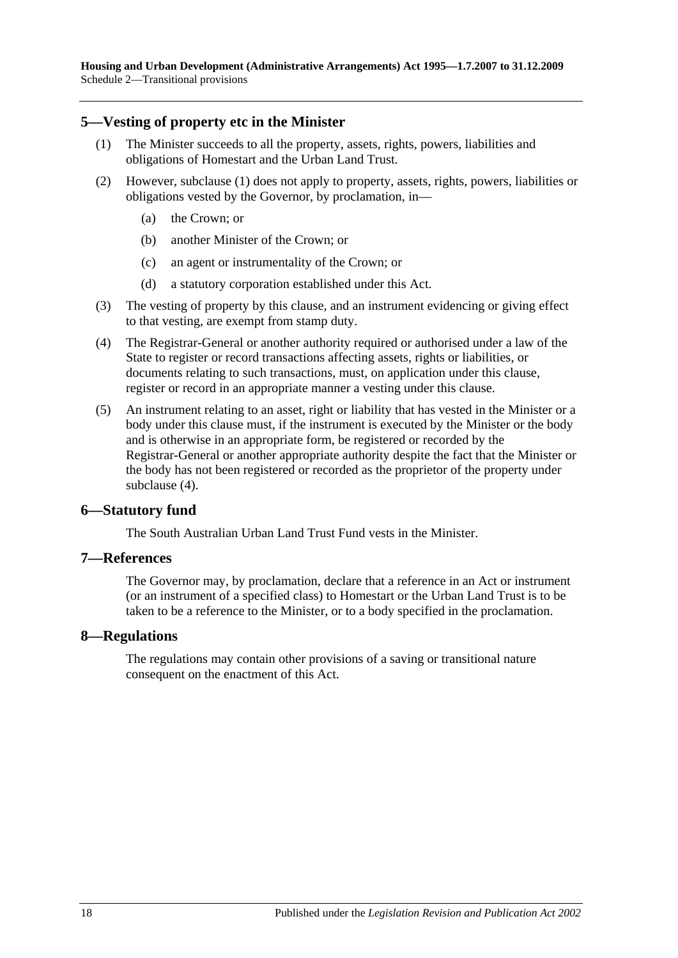## <span id="page-17-4"></span><span id="page-17-0"></span>**5—Vesting of property etc in the Minister**

- (1) The Minister succeeds to all the property, assets, rights, powers, liabilities and obligations of Homestart and the Urban Land Trust.
- (2) However, [subclause](#page-17-4) (1) does not apply to property, assets, rights, powers, liabilities or obligations vested by the Governor, by proclamation, in—
	- (a) the Crown; or
	- (b) another Minister of the Crown; or
	- (c) an agent or instrumentality of the Crown; or
	- (d) a statutory corporation established under this Act.
- (3) The vesting of property by this clause, and an instrument evidencing or giving effect to that vesting, are exempt from stamp duty.
- <span id="page-17-5"></span>(4) The Registrar-General or another authority required or authorised under a law of the State to register or record transactions affecting assets, rights or liabilities, or documents relating to such transactions, must, on application under this clause, register or record in an appropriate manner a vesting under this clause.
- (5) An instrument relating to an asset, right or liability that has vested in the Minister or a body under this clause must, if the instrument is executed by the Minister or the body and is otherwise in an appropriate form, be registered or recorded by the Registrar-General or another appropriate authority despite the fact that the Minister or the body has not been registered or recorded as the proprietor of the property under [subclause](#page-17-5) (4).

#### <span id="page-17-1"></span>**6—Statutory fund**

The South Australian Urban Land Trust Fund vests in the Minister.

#### <span id="page-17-2"></span>**7—References**

The Governor may, by proclamation, declare that a reference in an Act or instrument (or an instrument of a specified class) to Homestart or the Urban Land Trust is to be taken to be a reference to the Minister, or to a body specified in the proclamation.

#### <span id="page-17-3"></span>**8—Regulations**

The regulations may contain other provisions of a saving or transitional nature consequent on the enactment of this Act.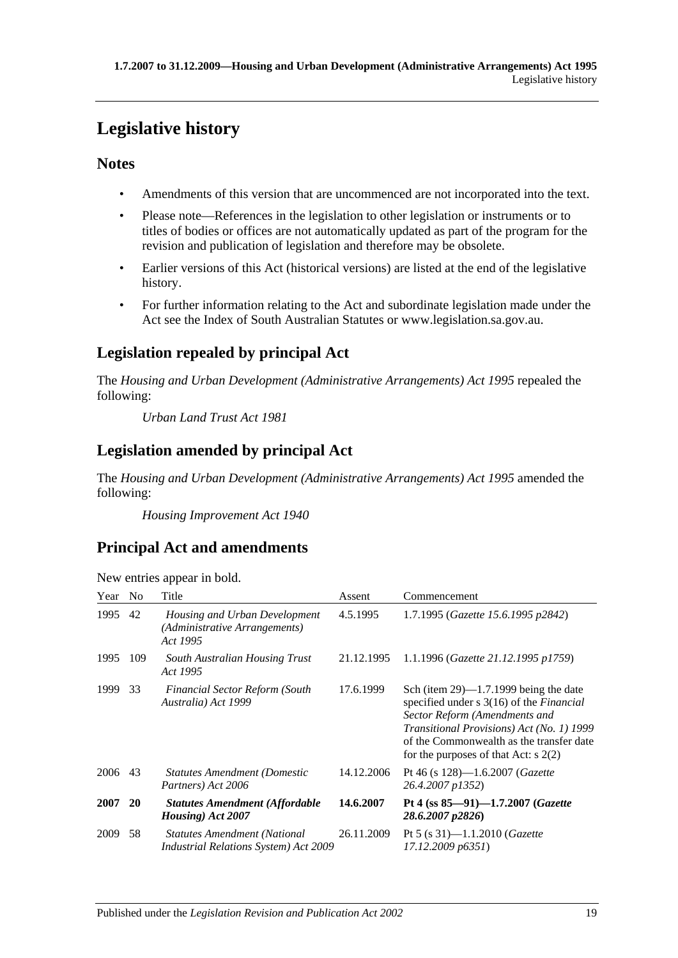# <span id="page-18-0"></span>**Legislative history**

## **Notes**

- Amendments of this version that are uncommenced are not incorporated into the text.
- Please note—References in the legislation to other legislation or instruments or to titles of bodies or offices are not automatically updated as part of the program for the revision and publication of legislation and therefore may be obsolete.
- Earlier versions of this Act (historical versions) are listed at the end of the legislative history.
- For further information relating to the Act and subordinate legislation made under the Act see the Index of South Australian Statutes or www.legislation.sa.gov.au.

## **Legislation repealed by principal Act**

The *Housing and Urban Development (Administrative Arrangements) Act 1995* repealed the following:

*Urban Land Trust Act 1981*

## **Legislation amended by principal Act**

The *Housing and Urban Development (Administrative Arrangements) Act 1995* amended the following:

*Housing Improvement Act 1940*

## **Principal Act and amendments**

| Year    | No. | Title                                                                               | Assent     | Commencement                                                                                                                                                                                                                                                         |
|---------|-----|-------------------------------------------------------------------------------------|------------|----------------------------------------------------------------------------------------------------------------------------------------------------------------------------------------------------------------------------------------------------------------------|
| 1995    | 42  | Housing and Urban Development<br>(Administrative Arrangements)<br>Act 1995          | 4.5.1995   | 1.7.1995 (Gazette 15.6.1995 p2842)                                                                                                                                                                                                                                   |
| 1995    | 109 | South Australian Housing Trust<br>Act 1995                                          | 21.12.1995 | 1.1.1996 (Gazette 21.12.1995 p1759)                                                                                                                                                                                                                                  |
| 1999    | 33  | <b>Financial Sector Reform (South</b><br>Australia) Act 1999                        | 17.6.1999  | Sch (item $29$ )—1.7.1999 being the date<br>specified under $s \, 3(16)$ of the <i>Financial</i><br>Sector Reform (Amendments and<br>Transitional Provisions) Act (No. 1) 1999<br>of the Commonwealth as the transfer date<br>for the purposes of that Act: $s$ 2(2) |
| 2006 43 |     | <b>Statutes Amendment (Domestic</b><br>Partners) Act 2006                           | 14.12.2006 | Pt 46 (s $128$ )—1.6.2007 ( <i>Gazette</i><br>26.4.2007 p1352)                                                                                                                                                                                                       |
| 2007    | 20  | <b>Statutes Amendment (Affordable</b><br>Housing) Act 2007                          | 14.6.2007  | Pt 4 (ss $85-91$ )-1.7.2007 ( <i>Gazette</i><br>28.6.2007 p2826)                                                                                                                                                                                                     |
| 2009    | 58  | <b>Statutes Amendment (National</b><br><b>Industrial Relations System) Act 2009</b> | 26.11.2009 | Pt 5 (s 31)-1.1.2010 ( <i>Gazette</i><br>17.12.2009 p6351)                                                                                                                                                                                                           |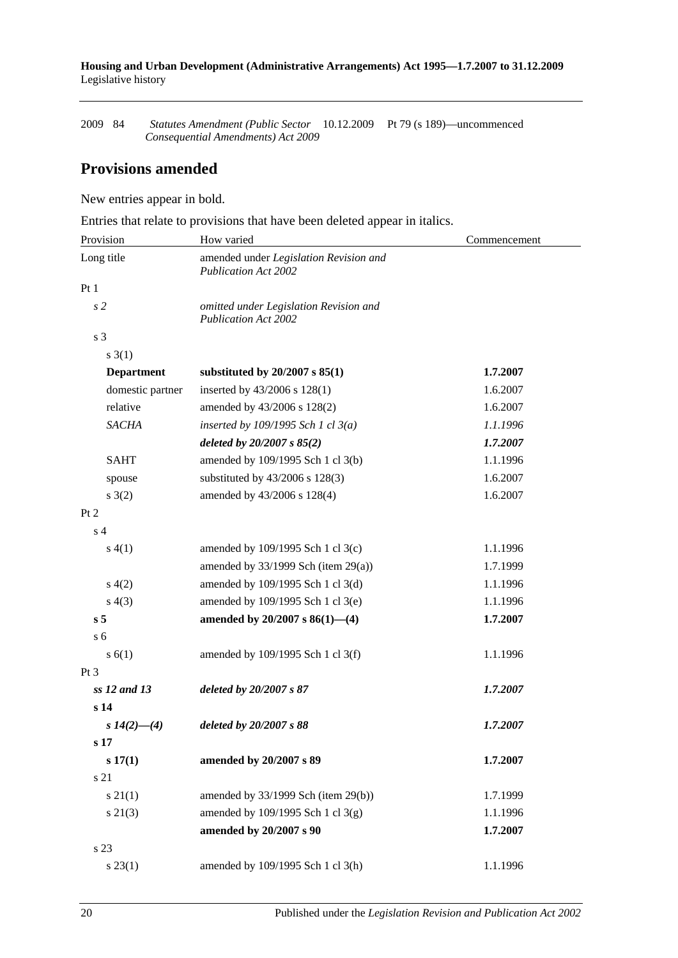**Housing and Urban Development (Administrative Arrangements) Act 1995—1.7.2007 to 31.12.2009** Legislative history

2009 84 *Statutes Amendment (Public Sector*  10.12.2009 Pt 79 (s 189)—uncommenced *Consequential Amendments) Act 2009*

## **Provisions amended**

New entries appear in bold.

Entries that relate to provisions that have been deleted appear in italics.

| Provision         | How varied                                                            | Commencement |  |
|-------------------|-----------------------------------------------------------------------|--------------|--|
| Long title        | amended under Legislation Revision and<br><b>Publication Act 2002</b> |              |  |
| Pt <sub>1</sub>   |                                                                       |              |  |
| s <sub>2</sub>    | omitted under Legislation Revision and<br><b>Publication Act 2002</b> |              |  |
| s 3               |                                                                       |              |  |
| $s \; 3(1)$       |                                                                       |              |  |
| <b>Department</b> | substituted by $20/2007$ s $85(1)$                                    | 1.7.2007     |  |
| domestic partner  | inserted by 43/2006 s 128(1)                                          | 1.6.2007     |  |
| relative          | amended by 43/2006 s 128(2)                                           | 1.6.2007     |  |
| <b>SACHA</b>      | inserted by $109/1995$ Sch 1 cl $3(a)$                                | 1.1.1996     |  |
|                   | deleted by $20/2007 s 85(2)$                                          | 1.7.2007     |  |
| <b>SAHT</b>       | amended by 109/1995 Sch 1 cl 3(b)                                     | 1.1.1996     |  |
| spouse            | substituted by 43/2006 s 128(3)                                       | 1.6.2007     |  |
| $s \; 3(2)$       | amended by 43/2006 s 128(4)                                           | 1.6.2007     |  |
| Pt 2              |                                                                       |              |  |
| s <sub>4</sub>    |                                                                       |              |  |
| s(4(1))           | amended by 109/1995 Sch 1 cl 3(c)                                     | 1.1.1996     |  |
|                   | amended by $33/1999$ Sch (item $29(a)$ )                              | 1.7.1999     |  |
| s(4(2)            | amended by 109/1995 Sch 1 cl 3(d)                                     | 1.1.1996     |  |
| s(4(3))           | amended by 109/1995 Sch 1 cl 3(e)                                     | 1.1.1996     |  |
| s <sub>5</sub>    | amended by $20/2007$ s $86(1)$ —(4)                                   | 1.7.2007     |  |
| s <sub>6</sub>    |                                                                       |              |  |
| s(6(1))           | amended by 109/1995 Sch 1 cl 3(f)                                     | 1.1.1996     |  |
| $Pt\,3$           |                                                                       |              |  |
| ss 12 and 13      | deleted by 20/2007 s 87                                               | 1.7.2007     |  |
| s <sub>14</sub>   |                                                                       |              |  |
| s $14(2)$ —(4)    | deleted by 20/2007 s 88                                               | 1.7.2007     |  |
| s 17              |                                                                       |              |  |
| s 17(1)           | amended by 20/2007 s 89                                               | 1.7.2007     |  |
| s 21              |                                                                       |              |  |
| $s \, 21(1)$      | amended by 33/1999 Sch (item 29(b))                                   | 1.7.1999     |  |
| $s\ 21(3)$        | amended by 109/1995 Sch 1 cl 3(g)                                     | 1.1.1996     |  |
|                   | amended by 20/2007 s 90                                               | 1.7.2007     |  |
| s 23              |                                                                       |              |  |
| $s\,23(1)$        | amended by 109/1995 Sch 1 cl 3(h)                                     | 1.1.1996     |  |